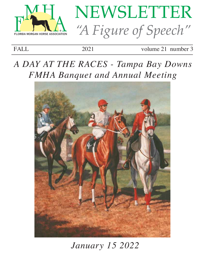



FALL 2021 volume 21 number 3

# *A DAY AT THE RACES - Tampa Bay Downs FMHA Banquet and Annual Meeting*



# *January 15 2022*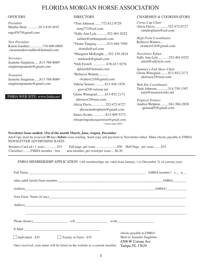## FLORIDA MORGAN HORSE ASSOCIATION

*President* Martha Stein .............813-818-4547 mgs4547@gmail.com

*Vice President*  Karen Gardner...............716-696-0869 clearmeadowstables@hotmail.com

*Secretary* Jeanette Singleton......813-768-8089 singletonjeanette@gmail.com

*Treasurer* Jeanette Singleton......813-768-8089 singletonjeanette@gmail.com

FMHA WEB SITE: www.fmha.net

\*Tom Johnson........772-812-9729 tomj772@aol.com \*Sally Ann Lyle............352-401-0252 sal4art@embarqmail.com \*Diane Tanguay ...........813-949-7509 dsstella@aol.com \*Margaret McKnight.....352-339-2824 mmkarrh@gmail.com \*Deb Ferrell.................678-617-9276 djferrell@hotmail.com \*Rebecca Watters........... rwatters216@gmail.com Valerie Seimer............813-926-1978 geoval2@verizon.net Glenn Winograd.........813-852-2171 ahorseor2@msn.com Alicia Davis................352-472-6727 aliciaraindropfarm@gmail.com Janice Scotto...............813-409-5272 whisperingoaksequestrian@gmail.com \*-term ends 2021

#### OFFICERS DIRECTORS DIRECTORS CHAIRMEN & COORDINATORS

*Citrus Cup Chair* Alicia Davis...............352-472-6727 raindropfarm@aol.com

*High Point Coordinator* Rebecca Watters... rwatters216@gmail.com

*Newsletter Editor* Sally Ann Lyle............352-401-0252 artist@sallylyle.com

*Summer's End Show Chair* Glenn Winograd.........813-852-2171 ahorseor2@msn.com

*Web Site Coordinator* Tami Johnson.............314-750-1397 tami@masterworks.net

*Tropical Trotters* Andrea Welpton..........941-504-2826 quieara05@gmail.com

#### **Newsletter Issue mailed: 15st of the month March, June, August, December**

Ads/Copy must be recieved **10** days **before** issue mailing. Send copy and payment to Newsletter editor. Make checks payable to FMHA NEWSLETTER ADVERTISING RATES

Business Card ad (1 year)...............\$35 Full page, per issue.............................\$50 Half Page, per issue.........\$35<br>Classified..........FMHA member - free non-member, per word/per issue.....\$0.20 non-member, per word/per issue.....\$0.20

#### FMHA MEMBERSHIP APPLICATION (All memberships are valid from January 1 to December 31 of current year)

| □ Individual - \$25 25 Eamily or Farm - \$35                                |  |                 | checks payable to FMHA<br>Mail to: Jeanette Singleton<br>4208 W Corona Ave |  |
|-----------------------------------------------------------------------------|--|-----------------|----------------------------------------------------------------------------|--|
| Once received, your name will be listed on the website as a current member. |  | Tampa, FL 33629 |                                                                            |  |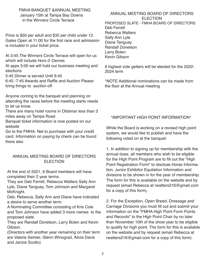FMHA BANQUET &ANNUAL MEETING January 15th at Tampa Bay Downs in the Winners Circle Terrace

Price is \$50 per adult and \$35 per child under 12. Gates Open at 11:00 for the first race and admission is included in your ticket price.

At 3:45 The Winners Circle Terrace will open for us which will include Hors d' Oevres

At appx 5:00 we will hold our business meeting and elections

5:45 Dinner is served Until 6:45

6:45 -7:45 Awards and Raffle and Auction Please bring things to auction off.

Anyone coming to the banquet and planning on attending the races before the meeting starts needs to let us know.

There are many hotel rooms in Oldsmar less than 3 miles away on Tampa Road

Banquet ticket information is now posted on our website

Go to the FMHA. Net to purchase with your credit card. Information on paying by check can be found there also

### ANNUAL MEETING BOARD OF DIRECTORS **ELECTION**

At the end of 2021, 6 Board members will have completed their 2 year terms.

They are Deb Ferrell, Rebecca Watters Sally Ann Lyle, Diane Tanguay, Tom Johnson and Margaret McKnight.

Deb, Rebecca, Sally Ann and Diane have indicated a desire to serve another term.

A Nominating Committee consisting of Kris Cole and Tom Johnson have added 3 more names to the proposed slate.

They are Randall Donelson, Larry Bolen and Kevin **Gibson** 

(Directors with another year remaining on their term are Valerie Seimer, Glenn Winograd, Alicia Davis and Janice Scotto)

#### ANNUAL MEETING BOARD OF DIRECTORS **ELECTION** PROPOSED SLATE - FMHA BOARD OF DIRECTORS Deb Ferrell Rebecca Watters Sally Ann Lyle Diane Tanguay Randall Donelson Larry Bolen Kevin Gibson

6 highest vote getters will be elected for the 2022- 2024 term

\*NOTE Additional nominations can be made from the floor at the Annual meeting

## \*IMPORTANT HIGH POINT INFORMATION\*

While the Board is working on a revised high point system, we would like to publish and have the following voted on at the banquet:

1. In addition to signing up for membership with the annual dues, all members who wish to be eligible for the High Point Program are to fill out the "High Point Registration Form" to disclose Horse Information, Junior Exhibitor Equitation Information and divisions to be shown in for the year of membership. The form for this is available on the website and by request (email Rebecca at rwatters216@gmail.com for a copy of this form).

2. For the Exception, Open Breed, Dressage and Carriage Divisions you must fill out and submit your information on the "FMHA High Point Form Points and Records" to the High Point Chair by no later than November 10th of the show year to be eligible to qualify for high point. The form for this is available on the website and by request (email Rebecca at rwatters216@gmail.com for a copy of this form).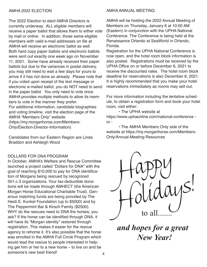The 2022 Election to elect AMHA Directors is currently underway. ALL eligible members will receive a paper ballot that allows them to either vote by mail or online. In addition, those same eligible members with valid e-mail addresses on file at AMHA will receive an electronic ballot as well. Both hard copy paper ballots and electronic ballots were sent out exactly one week ago on November 11, 2021. Some have already received their paper ballots but due to the variances in postal delivery, you may still need to wait a few days for yours to arrive if it has not done so already. Please note that if you voted upon receipt of the text message or electronic e-mailed ballot, you do NOT need to send in the paper ballot. You only need to vote once. AMHA provides multiple methods to allow its members to vote in the manner they prefer. For additional information, candidate biographies and voting timeline, visit the election page of the **AMHA "Members Only" website** (https://my.morganhorse.com/Members-Only/Election-Director-Information)

Candidates from our Eastern Region are Linda **Braddon and Ashleigh Wood** 

### **DOLLARS FOR DNA PROGRAM**

In October, AMHA's Welfare and Rescue Committee launched a project called "Dollars for DNA" with the goal of reaching \$10,000 to pay for DNA identification of Morgans being rescued by recognized 501.c.3 organizations. Your tax-deductible donations will be made through AMHECT (the American Morgan Horse Educational Charitable Trust). Generous matching funds are being provided by The Heidi E. Kunkel Foundation (up to \$5000) and by The Peppermint Bar & Kirsch Family (\$2500). WHY do the rescues need to DNA the horses, you ask? If the horse can be identified through DNA, it will have its "Morgan identity" restored through registration. This makes it easier for the rescue agency to rehome it. It's also possible that the horse was enrolled in the AMHA Full Circle Program which would lead the rescue to people interested in helping get him or her to a new home  $-$  to live on and be someone's new best friend!

#### AMHA ANNUAL MEETING

AMHA will be holding the 2022 Annual Meeting of Members on Thursday, January 6 at 10:00 AM (Eastern) in conjunction with the UPHA National Conference. The Conference is being held at the Renaissance Orlando at SeaWorld in Orlando, Florida.

Registration for the UPHA National Conference is now open, and the hotel room block information is also posted. Registrations must be received by the UPHA Office on or before December 6, 2021 to receive the discounted rates. The hotel room block deadline for reservations is also December 6, 2021. It is highly recommended that you make your hotel reservations immediately as rooms may sell out.

For more information including the tentative schedule, to obtain a registration form and book your hotel room. visit either:

• The UPHA website at https://www.uphaonline.com/national-conference  $or -$ 

• The AMHA Members Only side of the website at https://my.morganhorse.com/Members-**Only/Annual-Meeting-Resources** 



and hopes for a great **New Year!**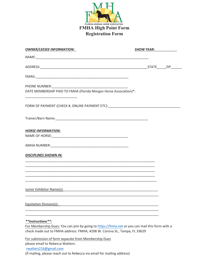

| <b>OWNER/LEESEE INFORMATION:</b>                                                                                                                                                                                                                            | SHOW YEAR: |  |  |
|-------------------------------------------------------------------------------------------------------------------------------------------------------------------------------------------------------------------------------------------------------------|------------|--|--|
|                                                                                                                                                                                                                                                             |            |  |  |
|                                                                                                                                                                                                                                                             |            |  |  |
|                                                                                                                                                                                                                                                             |            |  |  |
|                                                                                                                                                                                                                                                             |            |  |  |
| DATE MEMBERSHIP PAID TO FMHA (Florida Morgan Horse Association)*:                                                                                                                                                                                           |            |  |  |
| FORM OF PAYMENT (CHECK #, ONLINE PAYMENT ETC):___________________________________                                                                                                                                                                           |            |  |  |
|                                                                                                                                                                                                                                                             |            |  |  |
| <b>HORSE INFORMATION:</b><br>NAME OF HORSE: 2008 PERSONAL PROPERTY AND ACCORDING TO A 2009 PERSONAL PROPERTY AND A 2009 PERSONAL PROPERTY AND A 2009 PERSONAL PROPERTY AND A 2009 PERSONAL PROPERTY AND A 2009 PERSONAL PROPERTY AND A 2009 PERSONAL PROPER |            |  |  |
|                                                                                                                                                                                                                                                             |            |  |  |
| <b>DISCIPLINES SHOWN IN:</b>                                                                                                                                                                                                                                |            |  |  |
|                                                                                                                                                                                                                                                             |            |  |  |
|                                                                                                                                                                                                                                                             |            |  |  |
| Junior Exhibitor Name(s): Name (s): Name (s) and South Assembly Contact Assembly Contact Assembly Contact Assembly Contact Assembly Contact Assembly Contact Assembly Contact Assembly Contact Assembly Contact Assembly Conta                              |            |  |  |
| <b>Equitation Division(s):</b>                                                                                                                                                                                                                              |            |  |  |
|                                                                                                                                                                                                                                                             |            |  |  |
| **Instructions**:<br>For Membership Dues: You can join by going to https://fmha.net or you can mail this form with a                                                                                                                                        |            |  |  |
| check made out to FMHA address: FMHA, 4208 W. Corona St., Tampa, FL 33629                                                                                                                                                                                   |            |  |  |
| a na matsaya kuwa wa Marekani wa Marekani Ma                                                                                                                                                                                                                |            |  |  |

For submission of form separate from Membership Dues

please email to Rebecca Watters:

rwatters216@gmail.com

(If mailing, please reach out to Rebecca via email for mailing address)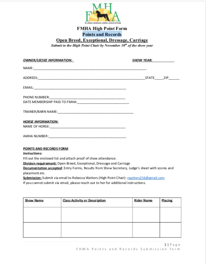

## **FMHA High Point Form Points and Records**

Open Breed, Exceptional, Dressage, Carriage

Submit to the High Point Chair by November 10<sup>th</sup> of the show year

| <b>OWNER/LEESEE INFORMATION:</b>                                                                                                                                        | <b>SHOW YEAR:</b> |  |  |
|-------------------------------------------------------------------------------------------------------------------------------------------------------------------------|-------------------|--|--|
|                                                                                                                                                                         |                   |  |  |
|                                                                                                                                                                         |                   |  |  |
|                                                                                                                                                                         |                   |  |  |
|                                                                                                                                                                         |                   |  |  |
|                                                                                                                                                                         |                   |  |  |
| <b>HORSE INFORMATION:</b>                                                                                                                                               |                   |  |  |
|                                                                                                                                                                         |                   |  |  |
|                                                                                                                                                                         |                   |  |  |
| POINTS AND RECORDS FORM                                                                                                                                                 |                   |  |  |
| Instructions:                                                                                                                                                           |                   |  |  |
| Fill out the enclosed list and attach proof of show attendance.                                                                                                         |                   |  |  |
| Division requirement: Open Breed, Exceptional, Dressage and Carriage<br>Documentation accepted: Entry Forms, Results from Show Secretary, Judge's sheet with scores and |                   |  |  |

placement etc.

Submission: Submit via email to Rebecca Watters (High Point Chair): rwatters216@gmail.com

If you cannot submit via email, please reach out to her for additional instructions.

| <b>Class Activity or Description</b> | <b>Rider Name</b> | Placing |
|--------------------------------------|-------------------|---------|
|                                      |                   |         |
|                                      |                   |         |
|                                      |                   |         |
|                                      |                   |         |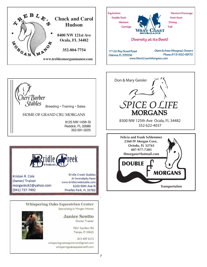





Kristen R. Cole Owner/Trainer morgankc62@yahoo.com (941) 737-7492

heri Barber

*Stables* 

**Bridle Creek Stables** At Serendipity Farm www.bridlecreekstable.com 6200 90th Ave N Pinellas Park, FL 33782

Whispering Oaks Equestrian Center

Specializing in Morgan Horses



**Janice Scotto** Owner Trainer

7631 Gardenr Rd Tampa, FI 33625

813 409 5272 whisperingoaksequestrian@gmail.com whisperingoaksequestrianfl.com

407-977-7205 ffmorgans@hotmail.com **DOUBLE MORGANS Transportation**